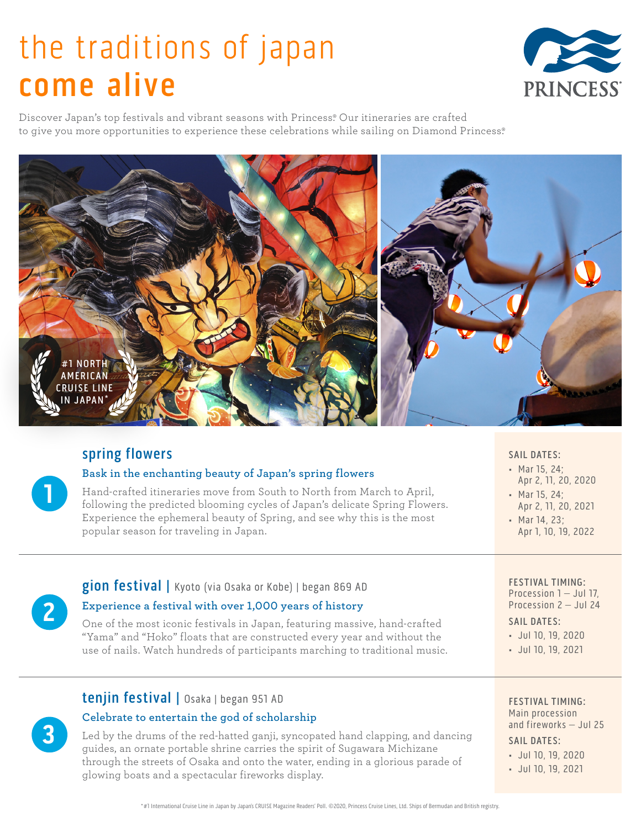# the traditions of japan come alive



Discover Japan's top festivals and vibrant seasons with Princess. Our itineraries are crafted to give you more opportunities to experience these celebrations while sailing on Diamond Princess.®



# spring flowers

**1**

**2**

**3**

## **Bask in the enchanting beauty of Japan's spring flowers**

Hand-crafted itineraries move from South to North from March to April, following the predicted blooming cycles of Japan's delicate Spring Flowers. Experience the ephemeral beauty of Spring, and see why this is the most popular season for traveling in Japan.

## SAIL DATES:

- Mar 15, 24; Apr 2, 11, 20, 2020
- Mar 15, 24;
- Apr 2, 11, 20, 2021
- Mar 14, 23; Apr 1, 10, 19, 2022

# gion festival | Kyoto (via Osaka or Kobe) | began 869 AD

## **Experience a festival with over 1,000 years of history**

tenjin festival | Osaka | began 951 AD

**Celebrate to entertain the god of scholarship** 

glowing boats and a spectacular fireworks display.

One of the most iconic festivals in Japan, featuring massive, hand-crafted "Yama" and "Hoko" floats that are constructed every year and without the use of nails. Watch hundreds of participants marching to traditional music.

Led by the drums of the red-hatted ganji, syncopated hand clapping, and dancing

guides, an ornate portable shrine carries the spirit of Sugawara Michizane through the streets of Osaka and onto the water, ending in a glorious parade of

#### FESTIVAL TIMING: Procession 1 - Jul 17, Procession 2 – Jul 24

#### SAIL DATES:

- Jul 10, 19, 2020
- Jul 10, 19, 2021

## FESTIVAL TIMING:

Main procession and fireworks – Jul 25

- SAIL DATES:
- Jul 10, 19, 2020
- Jul 10, 19, 2021